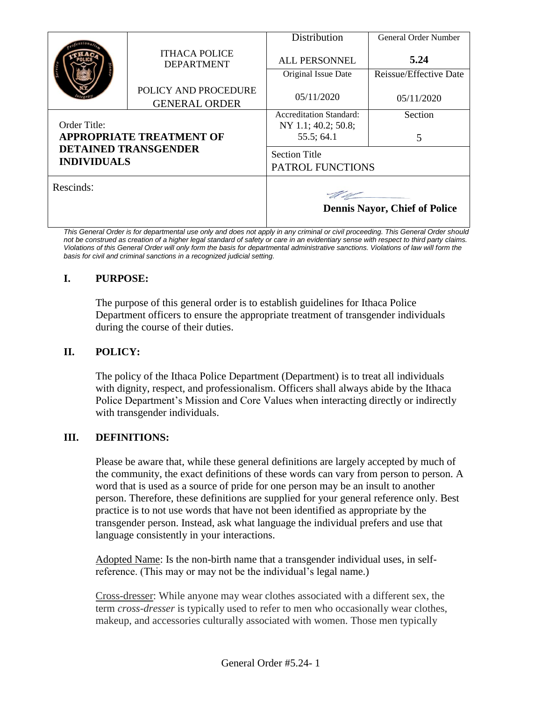|                                                                                                      | <b>ITHACA POLICE</b><br><b>DEPARTMENT</b>    | Distribution                             | <b>General Order Number</b> |
|------------------------------------------------------------------------------------------------------|----------------------------------------------|------------------------------------------|-----------------------------|
|                                                                                                      |                                              | <b>ALL PERSONNEL</b>                     | 5.24                        |
|                                                                                                      |                                              | Original Issue Date                      | Reissue/Effective Date      |
|                                                                                                      | POLICY AND PROCEDURE<br><b>GENERAL ORDER</b> | 05/11/2020                               | 05/11/2020                  |
| Order Title:<br><b>APPROPRIATE TREATMENT OF</b><br><b>DETAINED TRANSGENDER</b><br><b>INDIVIDUALS</b> |                                              | <b>Accreditation Standard:</b>           | Section                     |
|                                                                                                      |                                              | NY 1.1; 40.2; 50.8;<br>55.5; 64.1        | 5                           |
|                                                                                                      |                                              | <b>Section Title</b><br>PATROL FUNCTIONS |                             |
| Rescinds:                                                                                            |                                              | <b>Dennis Nayor, Chief of Police</b>     |                             |

*This General Order is for departmental use only and does not apply in any criminal or civil proceeding. This General Order should*  not be construed as creation of a higher legal standard of safety or care in an evidentiary sense with respect to third party claims. *Violations of this General Order will only form the basis for departmental administrative sanctions. Violations of law will form the basis for civil and criminal sanctions in a recognized judicial setting.*

# **I. PURPOSE:**

The purpose of this general order is to establish guidelines for Ithaca Police Department officers to ensure the appropriate treatment of transgender individuals during the course of their duties.

## **II. POLICY:**

The policy of the Ithaca Police Department (Department) is to treat all individuals with dignity, respect, and professionalism. Officers shall always abide by the Ithaca Police Department's Mission and Core Values when interacting directly or indirectly with transgender individuals.

#### **III. DEFINITIONS:**

Please be aware that, while these general definitions are largely accepted by much of the community, the exact definitions of these words can vary from person to person. A word that is used as a source of pride for one person may be an insult to another person. Therefore, these definitions are supplied for your general reference only. Best practice is to not use words that have not been identified as appropriate by the transgender person. Instead, ask what language the individual prefers and use that language consistently in your interactions.

Adopted Name: Is the non-birth name that a transgender individual uses, in selfreference. (This may or may not be the individual's legal name.)

Cross-dresser: While anyone may wear clothes associated with a different sex, the term *cross-dresser* is typically used to refer to men who occasionally wear clothes, makeup, and accessories culturally associated with women. Those men typically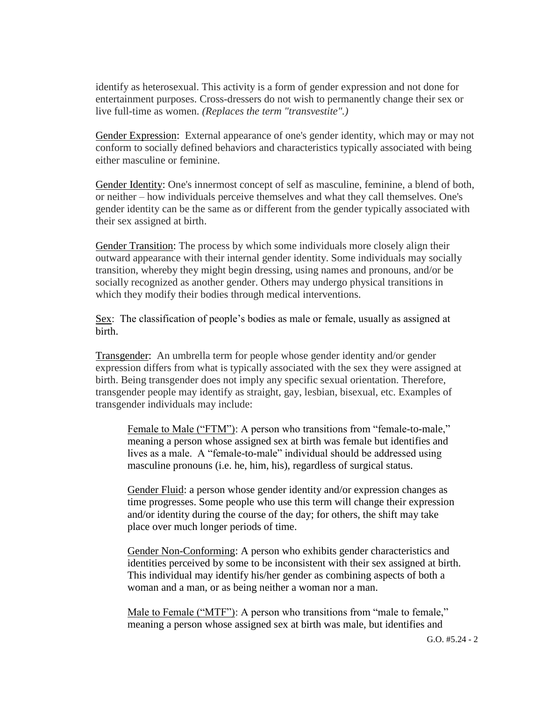identify as heterosexual. This activity is a form of gender expression and not done for entertainment purposes. Cross-dressers do not wish to permanently change their sex or live full-time as women. *(Replaces the term "transvestite".)*

Gender Expression: External appearance of one's gender identity, which may or may not conform to socially defined behaviors and characteristics typically associated with being either masculine or feminine.

Gender Identity: One's innermost concept of self as masculine, feminine, a blend of both, or neither – how individuals perceive themselves and what they call themselves. One's gender identity can be the same as or different from the gender typically associated with their sex assigned at birth.

Gender Transition: The process by which some individuals more closely align their outward appearance with their internal gender identity. Some individuals may socially transition, whereby they might begin dressing, using names and pronouns, and/or be socially recognized as another gender. Others may undergo physical transitions in which they modify their bodies through medical interventions.

Sex: The classification of people's bodies as male or female, usually as assigned at birth.

Transgender: An umbrella term for people whose gender identity and/or gender expression differs from what is typically associated with the sex they were assigned at birth. Being transgender does not imply any specific sexual orientation. Therefore, transgender people may identify as straight, gay, lesbian, bisexual, etc. Examples of transgender individuals may include:

Female to Male ("FTM"): A person who transitions from "female-to-male," meaning a person whose assigned sex at birth was female but identifies and lives as a male. A "female-to-male" individual should be addressed using masculine pronouns (i.e. he, him, his), regardless of surgical status.

Gender Fluid: a person whose gender identity and/or expression changes as time progresses. Some people who use this term will change their expression and/or identity during the course of the day; for others, the shift may take place over much longer periods of time.

Gender Non-Conforming: A person who exhibits gender characteristics and identities perceived by some to be inconsistent with their sex assigned at birth. This individual may identify his/her gender as combining aspects of both a woman and a man, or as being neither a woman nor a man.

Male to Female ("MTF"): A person who transitions from "male to female," meaning a person whose assigned sex at birth was male, but identifies and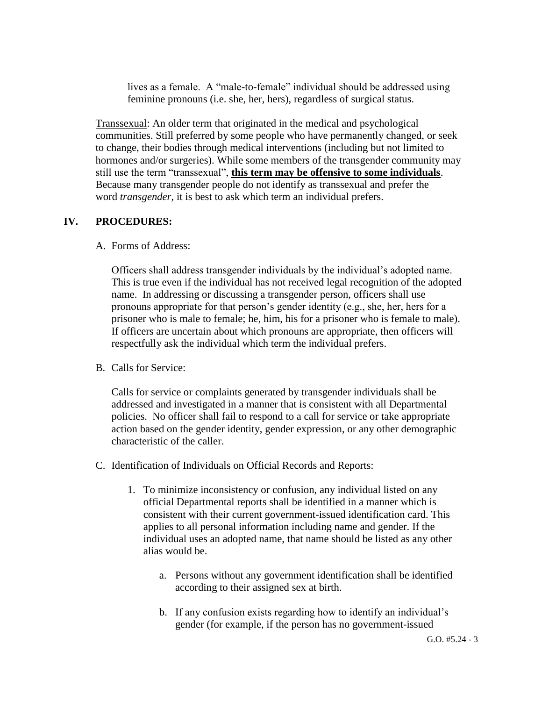lives as a female. A "male-to-female" individual should be addressed using feminine pronouns (i.e. she, her, hers), regardless of surgical status.

Transsexual: An older term that originated in the medical and psychological communities. Still preferred by some people who have permanently changed, or seek to change, their bodies through medical interventions (including but not limited to hormones and/or surgeries). While some members of the transgender community may still use the term "transsexual", **this term may be offensive to some individuals**. Because many transgender people do not identify as transsexual and prefer the word *transgender,* it is best to ask which term an individual prefers.

### **IV. PROCEDURES:**

A. Forms of Address:

Officers shall address transgender individuals by the individual's adopted name. This is true even if the individual has not received legal recognition of the adopted name. In addressing or discussing a transgender person, officers shall use pronouns appropriate for that person's gender identity (e.g., she, her, hers for a prisoner who is male to female; he, him, his for a prisoner who is female to male). If officers are uncertain about which pronouns are appropriate, then officers will respectfully ask the individual which term the individual prefers.

B. Calls for Service:

Calls for service or complaints generated by transgender individuals shall be addressed and investigated in a manner that is consistent with all Departmental policies. No officer shall fail to respond to a call for service or take appropriate action based on the gender identity, gender expression, or any other demographic characteristic of the caller.

- <span id="page-2-0"></span>C. Identification of Individuals on Official Records and Reports:
	- 1. To minimize inconsistency or confusion, any individual listed on any official Departmental reports shall be identified in a manner which is consistent with their current government-issued identification card. This applies to all personal information including name and gender. If the individual uses an adopted name, that name should be listed as any other alias would be.
		- a. Persons without any government identification shall be identified according to their assigned sex at birth.
		- b. If any confusion exists regarding how to identify an individual's gender (for example, if the person has no government-issued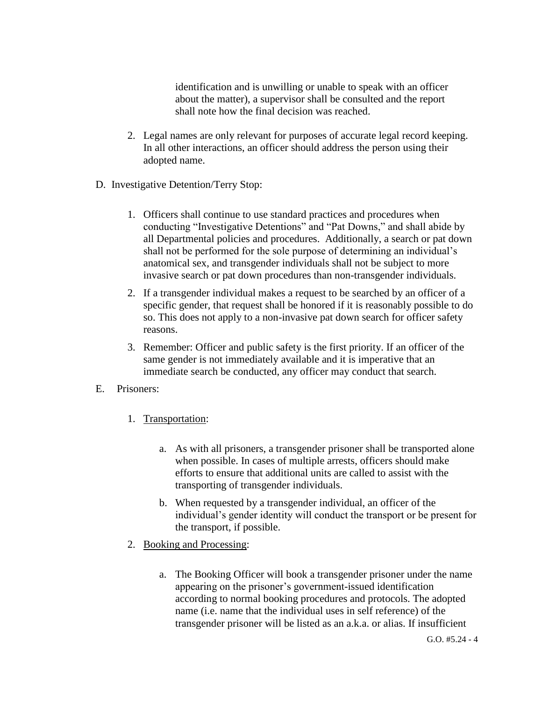identification and is unwilling or unable to speak with an officer about the matter), a supervisor shall be consulted and the report shall note how the final decision was reached.

- 2. Legal names are only relevant for purposes of accurate legal record keeping. In all other interactions, an officer should address the person using their adopted name.
- D. Investigative Detention/Terry Stop:
	- 1. Officers shall continue to use standard practices and procedures when conducting "Investigative Detentions" and "Pat Downs," and shall abide by all Departmental policies and procedures. Additionally, a search or pat down shall not be performed for the sole purpose of determining an individual's anatomical sex, and transgender individuals shall not be subject to more invasive search or pat down procedures than non-transgender individuals.
	- 2. If a transgender individual makes a request to be searched by an officer of a specific gender, that request shall be honored if it is reasonably possible to do so. This does not apply to a non-invasive pat down search for officer safety reasons.
	- 3. Remember: Officer and public safety is the first priority. If an officer of the same gender is not immediately available and it is imperative that an immediate search be conducted, any officer may conduct that search.
- E. Prisoners:
	- 1. Transportation:
		- a. As with all prisoners, a transgender prisoner shall be transported alone when possible. In cases of multiple arrests, officers should make efforts to ensure that additional units are called to assist with the transporting of transgender individuals.
		- b. When requested by a transgender individual, an officer of the individual's gender identity will conduct the transport or be present for the transport, if possible.
	- 2. Booking and Processing:
		- a. The Booking Officer will book a transgender prisoner under the name appearing on the prisoner's government-issued identification according to normal booking procedures and protocols. The adopted name (i.e. name that the individual uses in self reference) of the transgender prisoner will be listed as an a.k.a. or alias. If insufficient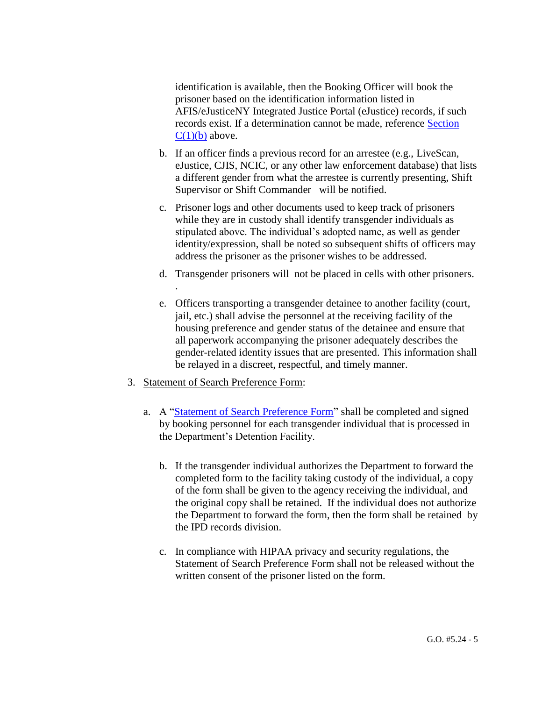identification is available, then the Booking Officer will book the prisoner based on the identification information listed in AFIS/eJusticeNY Integrated Justice Portal (eJustice) records, if such records exist. If a determination cannot be made, reference [Section](#page-2-0)   $C(1)(b)$  above.

- b. If an officer finds a previous record for an arrestee (e.g., LiveScan, eJustice, CJIS, NCIC, or any other law enforcement database) that lists a different gender from what the arrestee is currently presenting, Shift Supervisor or Shift Commander will be notified.
- c. Prisoner logs and other documents used to keep track of prisoners while they are in custody shall identify transgender individuals as stipulated above. The individual's adopted name, as well as gender identity/expression, shall be noted so subsequent shifts of officers may address the prisoner as the prisoner wishes to be addressed.
- d. Transgender prisoners will not be placed in cells with other prisoners.
- e. Officers transporting a transgender detainee to another facility (court, jail, etc.) shall advise the personnel at the receiving facility of the housing preference and gender status of the detainee and ensure that all paperwork accompanying the prisoner adequately describes the gender-related identity issues that are presented. This information shall be relayed in a discreet, respectful, and timely manner.
- 3. Statement of Search Preference Form:

.

- a. A ["Statement of Search Preference Form"](https://powerdms.com/link/IDS/document/?id=1436813) shall be completed and signed by booking personnel for each transgender individual that is processed in the Department's Detention Facility.
	- b. If the transgender individual authorizes the Department to forward the completed form to the facility taking custody of the individual, a copy of the form shall be given to the agency receiving the individual, and the original copy shall be retained. If the individual does not authorize the Department to forward the form, then the form shall be retained by the IPD records division.
	- c. In compliance with HIPAA privacy and security regulations, the Statement of Search Preference Form shall not be released without the written consent of the prisoner listed on the form.